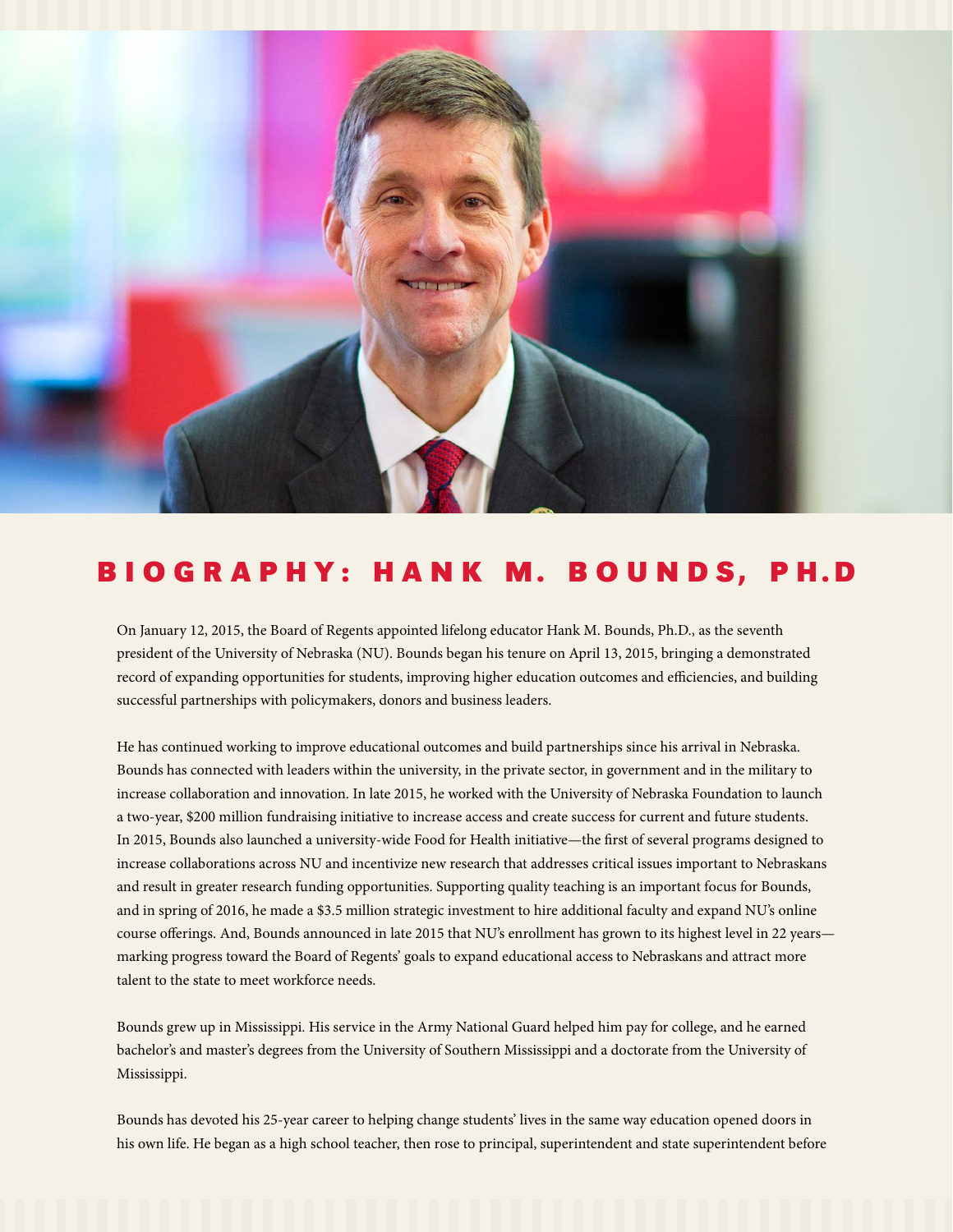

## B I O G R A P H Y : H A N K M. B O U N D S, P H.D

On January 12, 2015, the Board of Regents appointed lifelong educator Hank M. Bounds, Ph.D., as the seventh president of the University of Nebraska (NU). Bounds began his tenure on April 13, 2015, bringing a demonstrated record of expanding opportunities for students, improving higher education outcomes and efficiencies, and building successful partnerships with policymakers, donors and business leaders.

He has continued working to improve educational outcomes and build partnerships since his arrival in Nebraska. Bounds has connected with leaders within the university, in the private sector, in government and in the military to increase collaboration and innovation. In late 2015, he worked with the University of Nebraska Foundation to launch a two-year, \$200 million fundraising initiative to increase access and create success for current and future students. In 2015, Bounds also launched a university-wide Food for Health initiative—the first of several programs designed to increase collaborations across NU and incentivize new research that addresses critical issues important to Nebraskans and result in greater research funding opportunities. Supporting quality teaching is an important focus for Bounds, and in spring of 2016, he made a \$3.5 million strategic investment to hire additional faculty and expand NU's online course offerings. And, Bounds announced in late 2015 that NU's enrollment has grown to its highest level in 22 years marking progress toward the Board of Regents' goals to expand educational access to Nebraskans and attract more talent to the state to meet workforce needs.

Bounds grew up in Mississippi. His service in the Army National Guard helped him pay for college, and he earned bachelor's and master's degrees from the University of Southern Mississippi and a doctorate from the University of Mississippi.

Bounds has devoted his 25-year career to helping change students' lives in the same way education opened doors in his own life. He began as a high school teacher, then rose to principal, superintendent and state superintendent before